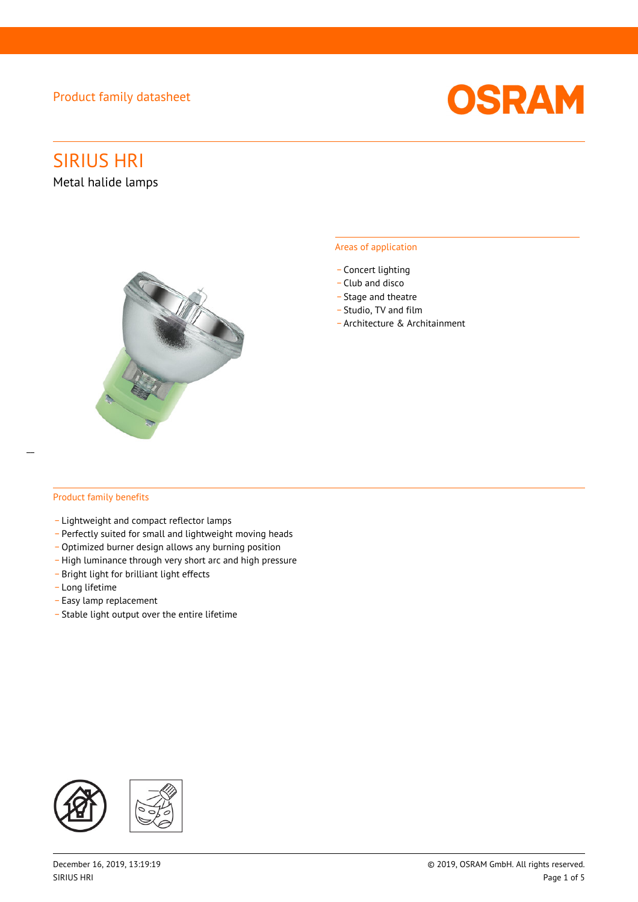### Product family datasheet



# SIRIUS HRI

Metal halide lamps



### Areas of application

- Concert lighting
- \_ Club and disco
- Stage and theatre
- \_ Studio, TV and film
- \_ Architecture & Architainment

### Product family benefits

- \_ Lightweight and compact reflector lamps
- \_ Perfectly suited for small and lightweight moving heads
- Optimized burner design allows any burning position
- High luminance through very short arc and high pressure
- \_ Bright light for brilliant light effects
- \_ Long lifetime
- \_ Easy lamp replacement
- \_ Stable light output over the entire lifetime

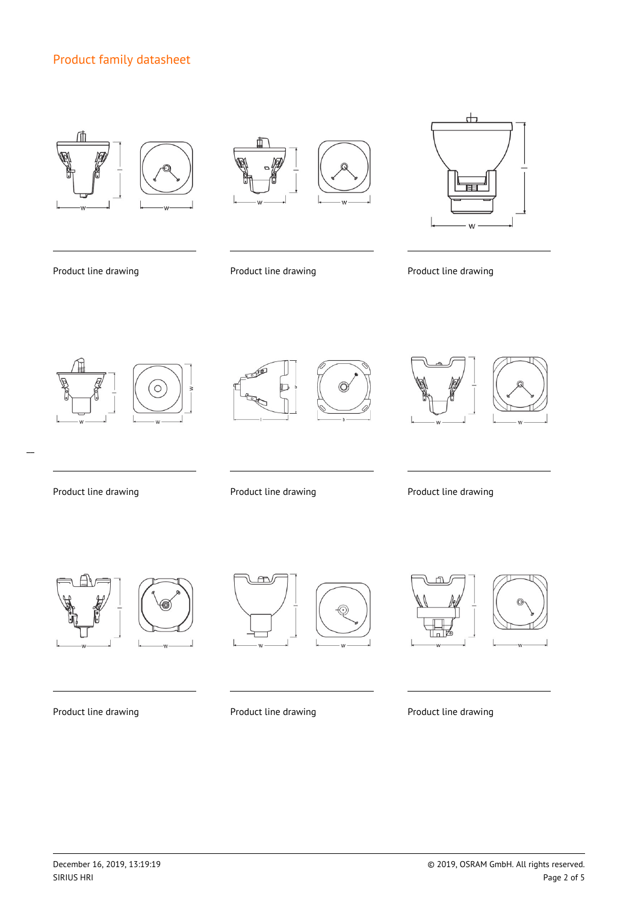# Product family datasheet









Product line drawing **Product line drawing** Product line drawing Product line drawing



 $\overline{a}$ 





Product line drawing extending Product line drawing Product line drawing Product line drawing







Product line drawing **Product line drawing** Product line drawing **Product line drawing** 



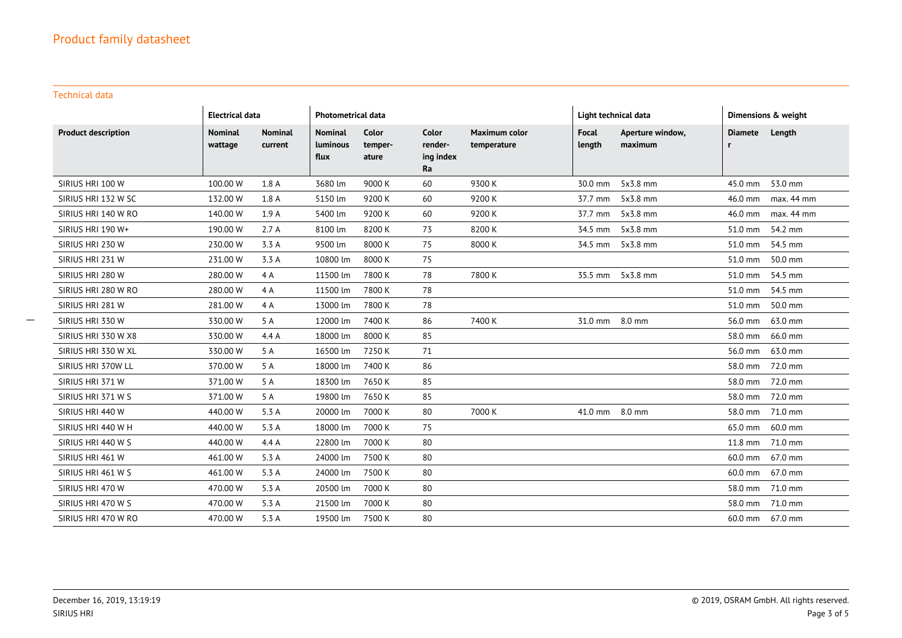Technical data

|                            | <b>Electrical data</b>    |                           | <b>Photometrical data</b>                 |                           |                                     | Light technical data                |                 | Dimensions & weight         |                            |            |
|----------------------------|---------------------------|---------------------------|-------------------------------------------|---------------------------|-------------------------------------|-------------------------------------|-----------------|-----------------------------|----------------------------|------------|
| <b>Product description</b> | <b>Nominal</b><br>wattage | <b>Nominal</b><br>current | <b>Nominal</b><br><b>Luminous</b><br>flux | Color<br>temper-<br>ature | Color<br>render-<br>ing index<br>Ra | <b>Maximum color</b><br>temperature | Focal<br>length | Aperture window,<br>maximum | <b>Diamete</b><br><b>r</b> | Length     |
| SIRIUS HRI 100 W           | 100.00 W                  | 1.8 A                     | 3680 lm                                   | 9000 K                    | 60                                  | 9300K                               | 30.0 mm         | 5x3.8 mm                    | 45.0 mm                    | 53.0 mm    |
| SIRIUS HRI 132 W SC        | 132.00 W                  | 1.8 A                     | 5150 lm                                   | 9200 K                    | 60                                  | 9200 K                              | 37.7 mm         | 5x3.8 mm                    | 46.0 mm                    | max. 44 mm |
| SIRIUS HRI 140 W RO        | 140.00 W                  | 1.9A                      | 5400 lm                                   | 9200 K                    | 60                                  | 9200 K                              | 37.7 mm         | 5x3.8 mm                    | 46.0 mm                    | max. 44 mm |
| SIRIUS HRI 190 W+          | 190.00 W                  | 2.7A                      | 8100 lm                                   | 8200 K                    | 73                                  | 8200K                               | 34.5 mm         | 5x3.8 mm                    | 51.0 mm                    | 54.2 mm    |
| SIRIUS HRI 230 W           | 230.00 W                  | 3.3 A                     | 9500 lm                                   | 8000 K                    | 75                                  | 8000 K                              | 34.5 mm         | $5x3.8$ mm                  | 51.0 mm                    | 54.5 mm    |
| SIRIUS HRI 231 W           | 231.00 W                  | 3.3 A                     | 10800 lm                                  | 8000 K                    | 75                                  |                                     |                 |                             | 51.0 mm                    | 50.0 mm    |
| SIRIUS HRI 280 W           | 280.00 W                  | 4 A                       | 11500 lm                                  | 7800 K                    | 78                                  | 7800 K                              |                 | 35.5 mm 5x3.8 mm            | 51.0 mm                    | 54.5 mm    |
| SIRIUS HRI 280 W RO        | 280.00 W                  | 4 A                       | 11500 lm                                  | 7800 K                    | 78                                  |                                     |                 |                             | 51.0 mm                    | 54.5 mm    |
| SIRIUS HRI 281 W           | 281.00 W                  | 4 A                       | 13000 lm                                  | 7800 K                    | 78                                  |                                     |                 |                             | 51.0 mm                    | 50.0 mm    |
| SIRIUS HRI 330 W           | 330.00 W                  | 5 A                       | 12000 lm                                  | 7400 K                    | 86                                  | 7400 K                              | 31.0 mm 8.0 mm  |                             | 56.0 mm                    | 63.0 mm    |
| SIRIUS HRI 330 W X8        | 330.00 W                  | 4.4A                      | 18000 lm                                  | 8000 K                    | 85                                  |                                     |                 |                             | 58.0 mm                    | 66.0 mm    |
| SIRIUS HRI 330 W XL        | 330.00 W                  | 5 A                       | 16500 lm                                  | 7250K                     | 71                                  |                                     |                 |                             | 56.0 mm                    | 63.0 mm    |
| SIRIUS HRI 370W LL         | 370.00 W                  | 5 A                       | 18000 lm                                  | 7400 K                    | 86                                  |                                     |                 |                             | 58.0 mm                    | 72.0 mm    |
| SIRIUS HRI 371 W           | 371.00 W                  | 5 A                       | 18300 lm                                  | 7650K                     | 85                                  |                                     |                 |                             | 58.0 mm 72.0 mm            |            |
| SIRIUS HRI 371 W S         | 371.00 W                  | 5 A                       | 19800 lm                                  | 7650K                     | 85                                  |                                     |                 |                             | 58.0 mm 72.0 mm            |            |
| SIRIUS HRI 440 W           | 440.00 W                  | 5.3 A                     | 20000 lm                                  | 7000 K                    | 80                                  | 7000 K                              | 41.0 mm 8.0 mm  |                             | 58.0 mm 71.0 mm            |            |
| SIRIUS HRI 440 W H         | 440.00 W                  | 5.3 A                     | 18000 lm                                  | 7000 K                    | 75                                  |                                     |                 |                             | 65.0 mm                    | 60.0 mm    |
| SIRIUS HRI 440 W S         | 440.00 W                  | 4.4 A                     | 22800 lm                                  | 7000 K                    | 80                                  |                                     |                 |                             | 11.8 mm 71.0 mm            |            |
| SIRIUS HRI 461 W           | 461.00 W                  | 5.3 A                     | 24000 lm                                  | 7500 K                    | 80                                  |                                     |                 |                             | 60.0 mm                    | 67.0 mm    |
| SIRIUS HRI 461 W S         | 461.00 W                  | 5.3 A                     | 24000 lm                                  | 7500 K                    | 80                                  |                                     |                 |                             | 60.0 mm                    | 67.0 mm    |
| SIRIUS HRI 470 W           | 470.00 W                  | 5.3 A                     | 20500 lm                                  | 7000 K                    | 80                                  |                                     |                 |                             | 58.0 mm                    | 71.0 mm    |
| SIRIUS HRI 470 W S         | 470.00 W                  | 5.3 A                     | 21500 lm                                  | 7000 K                    | 80                                  |                                     |                 |                             | 58.0 mm 71.0 mm            |            |
| SIRIUS HRI 470 W RO        | 470.00 W                  | 5.3 A                     | 19500 lm                                  | 7500 K                    | 80                                  |                                     |                 |                             | 60.0 mm 67.0 mm            |            |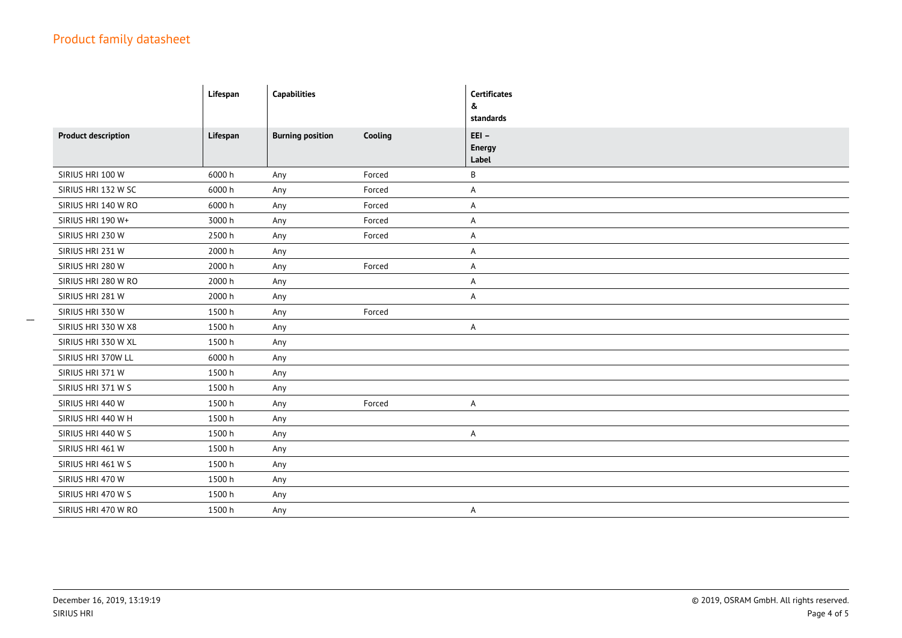|                            | Lifespan | <b>Capabilities</b>     |         | <b>Certificates</b><br>&<br>standards |
|----------------------------|----------|-------------------------|---------|---------------------------------------|
| <b>Product description</b> | Lifespan | <b>Burning position</b> | Cooling | $E E I -$<br><b>Energy</b><br>Label   |
| SIRIUS HRI 100 W           | 6000h    | Any                     | Forced  | В                                     |
| SIRIUS HRI 132 W SC        | 6000 h   | Any                     | Forced  | A                                     |
| SIRIUS HRI 140 W RO        | 6000h    | Any                     | Forced  | A                                     |
| SIRIUS HRI 190 W+          | 3000 h   | Any                     | Forced  | A                                     |
| SIRIUS HRI 230 W           | 2500 h   | Any                     | Forced  | A                                     |
| SIRIUS HRI 231 W           | 2000 h   | Any                     |         | A                                     |
| SIRIUS HRI 280 W           | 2000 h   | Any                     | Forced  | A                                     |
| SIRIUS HRI 280 W RO        | 2000 h   | Any                     |         | A                                     |
| SIRIUS HRI 281 W           | 2000 h   | Any                     |         | Α                                     |
| SIRIUS HRI 330 W           | 1500h    | Any                     | Forced  |                                       |
| SIRIUS HRI 330 W X8        | 1500h    | Any                     |         | A                                     |
| SIRIUS HRI 330 W XL        | 1500h    | Any                     |         |                                       |
| SIRIUS HRI 370W LL         | 6000h    | Any                     |         |                                       |
| SIRIUS HRI 371 W           | 1500h    | Any                     |         |                                       |
| SIRIUS HRI 371 W S         | 1500h    | Any                     |         |                                       |
| SIRIUS HRI 440 W           | 1500h    | Any                     | Forced  | A                                     |
| SIRIUS HRI 440 W H         | 1500h    | Any                     |         |                                       |
| SIRIUS HRI 440 W S         | 1500h    | Any                     |         | A                                     |
| SIRIUS HRI 461 W           | 1500h    | Any                     |         |                                       |
| SIRIUS HRI 461 W S         | 1500h    | Any                     |         |                                       |
| SIRIUS HRI 470 W           | 1500 h   | Any                     |         |                                       |
| SIRIUS HRI 470 W S         | 1500h    | Any                     |         |                                       |
| SIRIUS HRI 470 W RO        | 1500 h   | Any                     |         | A                                     |

 $\overline{\phantom{a}}$